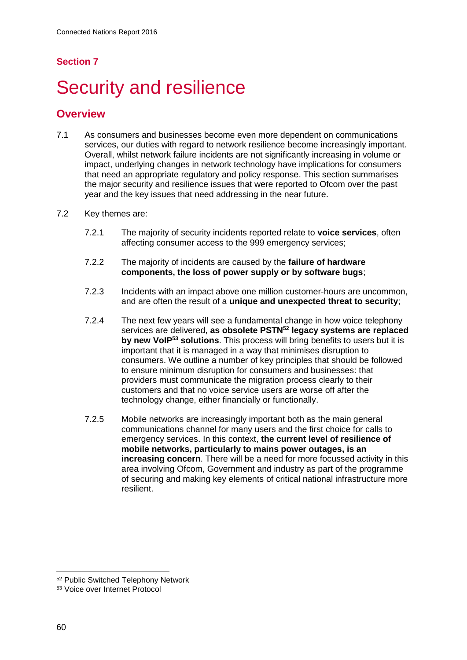# **Section 7**

# **Security and resilience**

## **Overview**

- 7.1 As consumers and businesses become even more dependent on communications services, our duties with regard to network resilience become increasingly important. Overall, whilst network failure incidents are not significantly increasing in volume or impact, underlying changes in network technology have implications for consumers that need an appropriate regulatory and policy response. This section summarises the major security and resilience issues that were reported to Ofcom over the past year and the key issues that need addressing in the near future.
- 7.2 Key themes are:
	- 7.2.1 The majority of security incidents reported relate to **voice services**, often affecting consumer access to the 999 emergency services;
	- 7.2.2 The majority of incidents are caused by the **failure of hardware components, the loss of power supply or by software bugs**;
	- 7.2.3 Incidents with an impact above one million customer-hours are uncommon, and are often the result of a **unique and unexpected threat to security**;
	- 7.2.4 The next few years will see a fundamental change in how voice telephony services are delivered, **as obsolete PSTN<sup>52</sup> legacy systems are replaced by new VoIP<sup>53</sup> solutions**. This process will bring benefits to users but it is important that it is managed in a way that minimises disruption to consumers. We outline a number of key principles that should be followed to ensure minimum disruption for consumers and businesses: that providers must communicate the migration process clearly to their customers and that no voice service users are worse off after the technology change, either financially or functionally.
	- 7.2.5 Mobile networks are increasingly important both as the main general communications channel for many users and the first choice for calls to emergency services. In this context, **the current level of resilience of mobile networks, particularly to mains power outages, is an increasing concern**. There will be a need for more focussed activity in this area involving Ofcom, Government and industry as part of the programme of securing and making key elements of critical national infrastructure more resilient.

 $\overline{a}$ 

<sup>52</sup> Public Switched Telephony Network

<sup>53</sup> Voice over Internet Protocol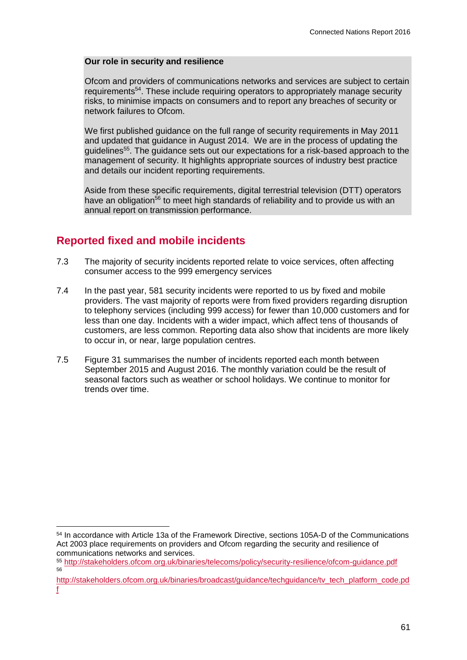#### **Our role in security and resilience**

Ofcom and providers of communications networks and services are subject to certain requirements<sup>54</sup>. These include requiring operators to appropriately manage security risks, to minimise impacts on consumers and to report any breaches of security or network failures to Ofcom.

We first published guidance on the full range of security requirements in May 2011 and updated that guidance in August 2014. We are in the process of updating the guidelines<sup>55</sup>. The guidance sets out our expectations for a risk-based approach to the management of security. It highlights appropriate sources of industry best practice and details our incident reporting requirements.

Aside from these specific requirements, digital terrestrial television (DTT) operators have an obligation<sup>56</sup> to meet high standards of reliability and to provide us with an annual report on transmission performance.

# **Reported fixed and mobile incidents**

-

- 7.3 The majority of security incidents reported relate to voice services, often affecting consumer access to the 999 emergency services
- 7.4 In the past year, 581 security incidents were reported to us by fixed and mobile providers. The vast majority of reports were from fixed providers regarding disruption to telephony services (including 999 access) for fewer than 10,000 customers and for less than one day. Incidents with a wider impact, which affect tens of thousands of customers, are less common. Reporting data also show that incidents are more likely to occur in, or near, large population centres.
- 7.5 [Figure 31](#page-2-0) summarises the number of incidents reported each month between September 2015 and August 2016. The monthly variation could be the result of seasonal factors such as weather or school holidays. We continue to monitor for trends over time.

<sup>54</sup> In accordance with Article 13a of the Framework Directive, sections 105A-D of the Communications Act 2003 place requirements on providers and Ofcom regarding the security and resilience of communications networks and services.

<sup>55</sup> <http://stakeholders.ofcom.org.uk/binaries/telecoms/policy/security-resilience/ofcom-guidance.pdf> 56

[http://stakeholders.ofcom.org.uk/binaries/broadcast/guidance/techguidance/tv\\_tech\\_platform\\_code.pd](http://stakeholders.ofcom.org.uk/binaries/broadcast/guidance/techguidance/tv_tech_platform_code.pdf) [f](http://stakeholders.ofcom.org.uk/binaries/broadcast/guidance/techguidance/tv_tech_platform_code.pdf)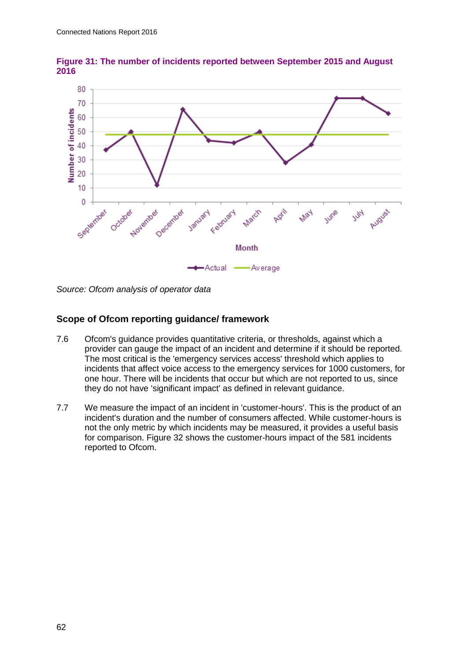

<span id="page-2-0"></span>**Figure 31: The number of incidents reported between September 2015 and August 2016**

*Source: Ofcom analysis of operator data*

## **Scope of Ofcom reporting guidance/ framework**

- 7.6 Ofcom's guidance provides quantitative criteria, or thresholds, against which a provider can gauge the impact of an incident and determine if it should be reported. The most critical is the 'emergency services access' threshold which applies to incidents that affect voice access to the emergency services for 1000 customers, for one hour. There will be incidents that occur but which are not reported to us, since they do not have 'significant impact' as defined in relevant guidance.
- 7.7 We measure the impact of an incident in 'customer-hours'. This is the product of an incident's duration and the number of consumers affected. While customer-hours is not the only metric by which incidents may be measured, it provides a useful basis for comparison. [Figure 32](#page-3-0) shows the customer-hours impact of the 581 incidents reported to Ofcom.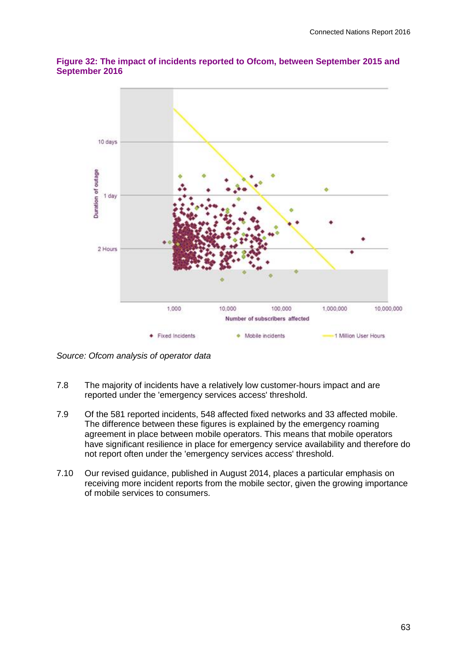

## <span id="page-3-0"></span>**Figure 32: The impact of incidents reported to Ofcom, between September 2015 and September 2016**

*Source: Ofcom analysis of operator data*

- 7.8 The majority of incidents have a relatively low customer-hours impact and are reported under the 'emergency services access' threshold.
- 7.9 Of the 581 reported incidents, 548 affected fixed networks and 33 affected mobile. The difference between these figures is explained by the emergency roaming agreement in place between mobile operators. This means that mobile operators have significant resilience in place for emergency service availability and therefore do not report often under the 'emergency services access' threshold.
- 7.10 Our revised guidance, published in August 2014, places a particular emphasis on receiving more incident reports from the mobile sector, given the growing importance of mobile services to consumers.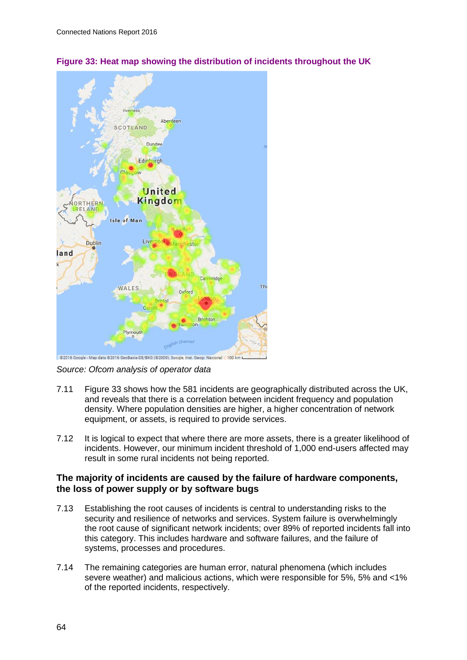

<span id="page-4-0"></span>**Figure 33: Heat map showing the distribution of incidents throughout the UK**

*Source: Ofcom analysis of operator data*

- 7.11 [Figure 33](#page-4-0) shows how the 581 incidents are geographically distributed across the UK, and reveals that there is a correlation between incident frequency and population density. Where population densities are higher, a higher concentration of network equipment, or assets, is required to provide services.
- 7.12 It is logical to expect that where there are more assets, there is a greater likelihood of incidents. However, our minimum incident threshold of 1,000 end-users affected may result in some rural incidents not being reported.

#### **The majority of incidents are caused by the failure of hardware components, the loss of power supply or by software bugs**

- 7.13 Establishing the root causes of incidents is central to understanding risks to the security and resilience of networks and services. System failure is overwhelmingly the root cause of significant network incidents; over 89% of reported incidents fall into this category. This includes hardware and software failures, and the failure of systems, processes and procedures.
- 7.14 The remaining categories are human error, natural phenomena (which includes severe weather) and malicious actions, which were responsible for 5%, 5% and <1% of the reported incidents, respectively.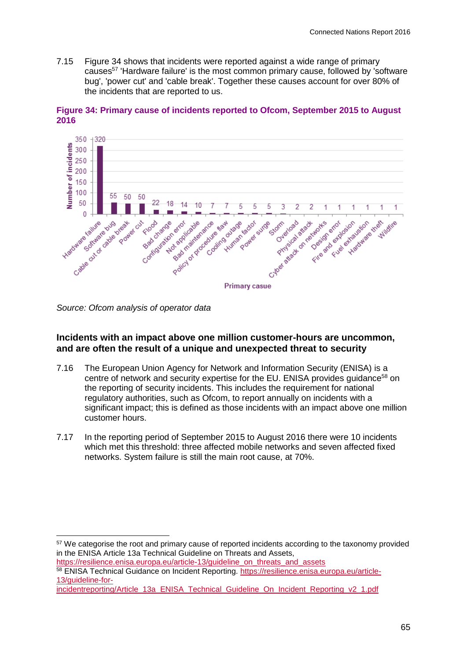7.15 [Figure 34](#page-5-0) shows that incidents were reported against a wide range of primary causes<sup>57</sup> 'Hardware failure' is the most common primary cause, followed by 'software bug', 'power cut' and 'cable break'. Together these causes account for over 80% of the incidents that are reported to us.



<span id="page-5-0"></span>**Figure 34: Primary cause of incidents reported to Ofcom, September 2015 to August 2016**

*Source: Ofcom analysis of operator data*

## **Incidents with an impact above one million customer-hours are uncommon, and are often the result of a unique and unexpected threat to security**

- 7.16 The European Union Agency for Network and Information Security (ENISA) is a centre of network and security expertise for the EU. ENISA provides quidance<sup>58</sup> on the reporting of security incidents. This includes the requirement for national regulatory authorities, such as Ofcom, to report annually on incidents with a significant impact; this is defined as those incidents with an impact above one million customer hours.
- 7.17 In the reporting period of September 2015 to August 2016 there were 10 incidents which met this threshold: three affected mobile networks and seven affected fixed networks. System failure is still the main root cause, at 70%.

-<sup>57</sup> We categorise the root and primary cause of reported incidents according to the taxonomy provided in the ENISA Article 13a Technical Guideline on Threats and Assets,

[https://resilience.enisa.europa.eu/article-13/guideline\\_on\\_threats\\_and\\_assets](https://resilience.enisa.europa.eu/article-13/guideline_on_threats_and_assets) 58 ENISA Technical Guidance on Incident Reporting. [https://resilience.enisa.europa.eu/article-](https://resilience.enisa.europa.eu/article-%2013/guideline-for-incidentreporting/Article_13a_ENISA_Technical_Guideline_On_Incident_Reporting_v2_1.pdf)[13/guideline-for-](https://resilience.enisa.europa.eu/article-%2013/guideline-for-incidentreporting/Article_13a_ENISA_Technical_Guideline_On_Incident_Reporting_v2_1.pdf)

[incidentreporting/Article\\_13a\\_ENISA\\_Technical\\_Guideline\\_On\\_Incident\\_Reporting\\_v2\\_1.pdf](https://resilience.enisa.europa.eu/article-%2013/guideline-for-incidentreporting/Article_13a_ENISA_Technical_Guideline_On_Incident_Reporting_v2_1.pdf)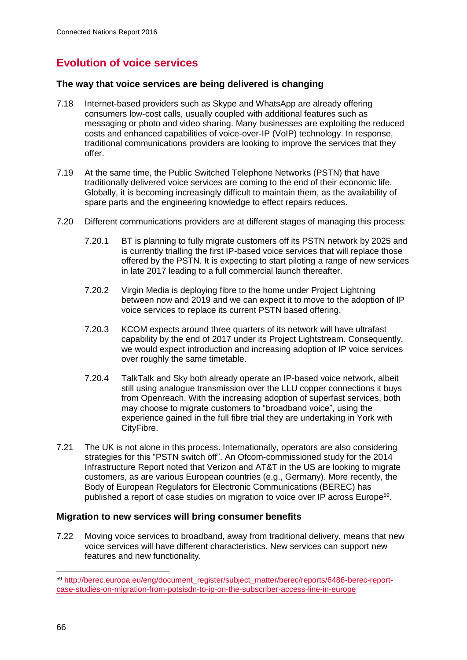# **Evolution of voice services**

#### **The way that voice services are being delivered is changing**

- 7.18 Internet-based providers such as Skype and WhatsApp are already offering consumers low-cost calls, usually coupled with additional features such as messaging or photo and video sharing. Many businesses are exploiting the reduced costs and enhanced capabilities of voice-over-IP (VoIP) technology. In response, traditional communications providers are looking to improve the services that they offer.
- 7.19 At the same time, the Public Switched Telephone Networks (PSTN) that have traditionally delivered voice services are coming to the end of their economic life. Globally, it is becoming increasingly difficult to maintain them, as the availability of spare parts and the engineering knowledge to effect repairs reduces.
- 7.20 Different communications providers are at different stages of managing this process:
	- 7.20.1 BT is planning to fully migrate customers off its PSTN network by 2025 and is currently trialling the first IP-based voice services that will replace those offered by the PSTN. It is expecting to start piloting a range of new services in late 2017 leading to a full commercial launch thereafter.
	- 7.20.2 Virgin Media is deploying fibre to the home under Project Lightning between now and 2019 and we can expect it to move to the adoption of IP voice services to replace its current PSTN based offering.
	- 7.20.3 KCOM expects around three quarters of its network will have ultrafast capability by the end of 2017 under its Project Lightstream. Consequently, we would expect introduction and increasing adoption of IP voice services over roughly the same timetable.
	- 7.20.4 TalkTalk and Sky both already operate an IP-based voice network, albeit still using analogue transmission over the LLU copper connections it buys from Openreach. With the increasing adoption of superfast services, both may choose to migrate customers to "broadband voice", using the experience gained in the full fibre trial they are undertaking in York with CityFibre.
- 7.21 The UK is not alone in this process. Internationally, operators are also considering strategies for this "PSTN switch off". An Ofcom-commissioned study for the 2014 Infrastructure Report noted that Verizon and AT&T in the US are looking to migrate customers, as are various European countries (e.g., Germany). More recently, the Body of European Regulators for Electronic Communications (BEREC) has published a report of case studies on migration to voice over IP across Europe<sup>59</sup>.

#### **Migration to new services will bring consumer benefits**

7.22 Moving voice services to broadband, away from traditional delivery, means that new voice services will have different characteristics. New services can support new features and new functionality.

 $\overline{a}$ 

<sup>59</sup> [http://berec.europa.eu/eng/document\\_register/subject\\_matter/berec/reports/6486-berec-report](http://berec.europa.eu/eng/document_register/subject_matter/berec/reports/6486-berec-report-case-studies-on-migration-from-potsisdn-to-ip-on-the-subscriber-access-line-in-europe)[case-studies-on-migration-from-potsisdn-to-ip-on-the-subscriber-access-line-in-europe](http://berec.europa.eu/eng/document_register/subject_matter/berec/reports/6486-berec-report-case-studies-on-migration-from-potsisdn-to-ip-on-the-subscriber-access-line-in-europe)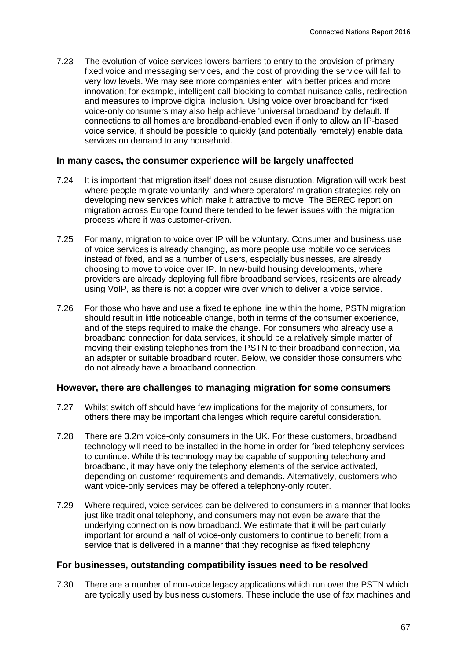7.23 The evolution of voice services lowers barriers to entry to the provision of primary fixed voice and messaging services, and the cost of providing the service will fall to very low levels. We may see more companies enter, with better prices and more innovation; for example, intelligent call-blocking to combat nuisance calls, redirection and measures to improve digital inclusion. Using voice over broadband for fixed voice-only consumers may also help achieve 'universal broadband' by default. If connections to all homes are broadband-enabled even if only to allow an IP-based voice service, it should be possible to quickly (and potentially remotely) enable data services on demand to any household.

#### **In many cases, the consumer experience will be largely unaffected**

- 7.24 It is important that migration itself does not cause disruption. Migration will work best where people migrate voluntarily, and where operators' migration strategies rely on developing new services which make it attractive to move. The BEREC report on migration across Europe found there tended to be fewer issues with the migration process where it was customer-driven.
- 7.25 For many, migration to voice over IP will be voluntary. Consumer and business use of voice services is already changing, as more people use mobile voice services instead of fixed, and as a number of users, especially businesses, are already choosing to move to voice over IP. In new-build housing developments, where providers are already deploying full fibre broadband services, residents are already using VoIP, as there is not a copper wire over which to deliver a voice service.
- 7.26 For those who have and use a fixed telephone line within the home, PSTN migration should result in little noticeable change, both in terms of the consumer experience, and of the steps required to make the change. For consumers who already use a broadband connection for data services, it should be a relatively simple matter of moving their existing telephones from the PSTN to their broadband connection, via an adapter or suitable broadband router. Below, we consider those consumers who do not already have a broadband connection.

#### **However, there are challenges to managing migration for some consumers**

- 7.27 Whilst switch off should have few implications for the majority of consumers, for others there may be important challenges which require careful consideration.
- 7.28 There are 3.2m voice-only consumers in the UK. For these customers, broadband technology will need to be installed in the home in order for fixed telephony services to continue. While this technology may be capable of supporting telephony and broadband, it may have only the telephony elements of the service activated, depending on customer requirements and demands. Alternatively, customers who want voice-only services may be offered a telephony-only router.
- 7.29 Where required, voice services can be delivered to consumers in a manner that looks just like traditional telephony, and consumers may not even be aware that the underlying connection is now broadband. We estimate that it will be particularly important for around a half of voice-only customers to continue to benefit from a service that is delivered in a manner that they recognise as fixed telephony.

#### **For businesses, outstanding compatibility issues need to be resolved**

7.30 There are a number of non-voice legacy applications which run over the PSTN which are typically used by business customers. These include the use of fax machines and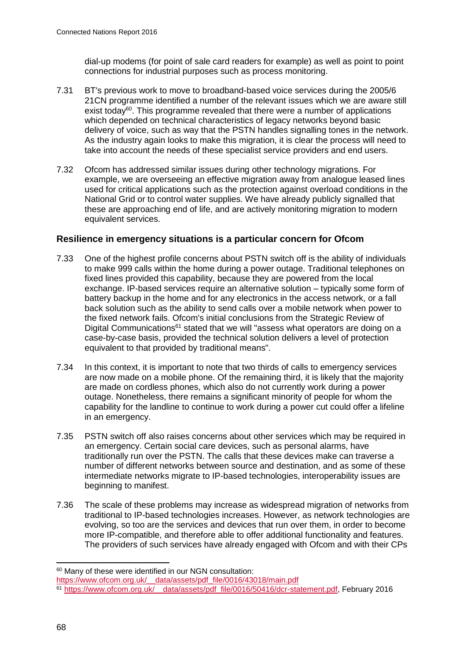dial-up modems (for point of sale card readers for example) as well as point to point connections for industrial purposes such as process monitoring.

- 7.31 BT's previous work to move to broadband-based voice services during the 2005/6 21CN programme identified a number of the relevant issues which we are aware still exist today<sup>60</sup>. This programme revealed that there were a number of applications which depended on technical characteristics of legacy networks beyond basic delivery of voice, such as way that the PSTN handles signalling tones in the network. As the industry again looks to make this migration, it is clear the process will need to take into account the needs of these specialist service providers and end users.
- 7.32 Ofcom has addressed similar issues during other technology migrations. For example, we are overseeing an effective migration away from analogue leased lines used for critical applications such as the protection against overload conditions in the National Grid or to control water supplies. We have already publicly signalled that these are approaching end of life, and are actively monitoring migration to modern equivalent services.

## **Resilience in emergency situations is a particular concern for Ofcom**

- 7.33 One of the highest profile concerns about PSTN switch off is the ability of individuals to make 999 calls within the home during a power outage. Traditional telephones on fixed lines provided this capability, because they are powered from the local exchange. IP-based services require an alternative solution – typically some form of battery backup in the home and for any electronics in the access network, or a fall back solution such as the ability to send calls over a mobile network when power to the fixed network fails. Ofcom's initial conclusions from the Strategic Review of Digital Communications<sup>61</sup> stated that we will "assess what operators are doing on a case-by-case basis, provided the technical solution delivers a level of protection equivalent to that provided by traditional means".
- 7.34 In this context, it is important to note that two thirds of calls to emergency services are now made on a mobile phone. Of the remaining third, it is likely that the majority are made on cordless phones, which also do not currently work during a power outage. Nonetheless, there remains a significant minority of people for whom the capability for the landline to continue to work during a power cut could offer a lifeline in an emergency.
- 7.35 PSTN switch off also raises concerns about other services which may be required in an emergency. Certain social care devices, such as personal alarms, have traditionally run over the PSTN. The calls that these devices make can traverse a number of different networks between source and destination, and as some of these intermediate networks migrate to IP-based technologies, interoperability issues are beginning to manifest.
- 7.36 The scale of these problems may increase as widespread migration of networks from traditional to IP-based technologies increases. However, as network technologies are evolving, so too are the services and devices that run over them, in order to become more IP-compatible, and therefore able to offer additional functionality and features. The providers of such services have already engaged with Ofcom and with their CPs

-

<sup>60</sup> Many of these were identified in our NGN consultation:

[https://www.ofcom.org.uk/\\_\\_data/assets/pdf\\_file/0016/43018/main.pdf](https://www.ofcom.org.uk/__data/assets/pdf_file/0016/43018/main.pdf)

<sup>&</sup>lt;sup>61</sup> https://www.ofcom.org.uk/ data/assets/pdf file/0016/50416/dcr-statement.pdf, February 2016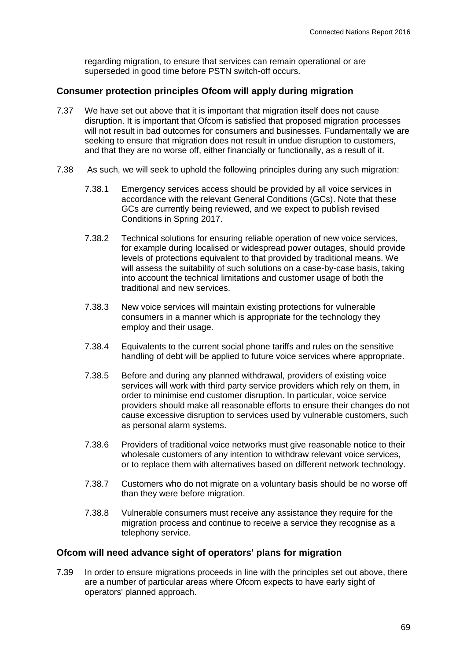regarding migration, to ensure that services can remain operational or are superseded in good time before PSTN switch-off occurs.

#### **Consumer protection principles Ofcom will apply during migration**

- 7.37 We have set out above that it is important that migration itself does not cause disruption. It is important that Ofcom is satisfied that proposed migration processes will not result in bad outcomes for consumers and businesses. Fundamentally we are seeking to ensure that migration does not result in undue disruption to customers, and that they are no worse off, either financially or functionally, as a result of it.
- 7.38 As such, we will seek to uphold the following principles during any such migration:
	- 7.38.1 Emergency services access should be provided by all voice services in accordance with the relevant General Conditions (GCs). Note that these GCs are currently being reviewed, and we expect to publish revised Conditions in Spring 2017.
	- 7.38.2 Technical solutions for ensuring reliable operation of new voice services, for example during localised or widespread power outages, should provide levels of protections equivalent to that provided by traditional means. We will assess the suitability of such solutions on a case-by-case basis, taking into account the technical limitations and customer usage of both the traditional and new services.
	- 7.38.3 New voice services will maintain existing protections for vulnerable consumers in a manner which is appropriate for the technology they employ and their usage.
	- 7.38.4 Equivalents to the current social phone tariffs and rules on the sensitive handling of debt will be applied to future voice services where appropriate.
	- 7.38.5 Before and during any planned withdrawal, providers of existing voice services will work with third party service providers which rely on them, in order to minimise end customer disruption. In particular, voice service providers should make all reasonable efforts to ensure their changes do not cause excessive disruption to services used by vulnerable customers, such as personal alarm systems.
	- 7.38.6 Providers of traditional voice networks must give reasonable notice to their wholesale customers of any intention to withdraw relevant voice services, or to replace them with alternatives based on different network technology.
	- 7.38.7 Customers who do not migrate on a voluntary basis should be no worse off than they were before migration.
	- 7.38.8 Vulnerable consumers must receive any assistance they require for the migration process and continue to receive a service they recognise as a telephony service.

#### **Ofcom will need advance sight of operators' plans for migration**

7.39 In order to ensure migrations proceeds in line with the principles set out above, there are a number of particular areas where Ofcom expects to have early sight of operators' planned approach.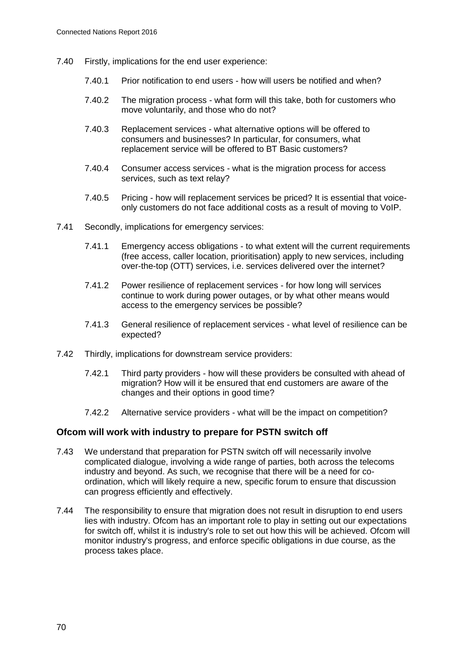- 7.40 Firstly, implications for the end user experience:
	- 7.40.1 Prior notification to end users how will users be notified and when?
	- 7.40.2 The migration process what form will this take, both for customers who move voluntarily, and those who do not?
	- 7.40.3 Replacement services what alternative options will be offered to consumers and businesses? In particular, for consumers, what replacement service will be offered to BT Basic customers?
	- 7.40.4 Consumer access services what is the migration process for access services, such as text relay?
	- 7.40.5 Pricing how will replacement services be priced? It is essential that voiceonly customers do not face additional costs as a result of moving to VoIP.
- 7.41 Secondly, implications for emergency services:
	- 7.41.1 Emergency access obligations to what extent will the current requirements (free access, caller location, prioritisation) apply to new services, including over-the-top (OTT) services, i.e. services delivered over the internet?
	- 7.41.2 Power resilience of replacement services for how long will services continue to work during power outages, or by what other means would access to the emergency services be possible?
	- 7.41.3 General resilience of replacement services what level of resilience can be expected?
- 7.42 Thirdly, implications for downstream service providers:
	- 7.42.1 Third party providers how will these providers be consulted with ahead of migration? How will it be ensured that end customers are aware of the changes and their options in good time?
	- 7.42.2 Alternative service providers what will be the impact on competition?

#### **Ofcom will work with industry to prepare for PSTN switch off**

- 7.43 We understand that preparation for PSTN switch off will necessarily involve complicated dialogue, involving a wide range of parties, both across the telecoms industry and beyond. As such, we recognise that there will be a need for coordination, which will likely require a new, specific forum to ensure that discussion can progress efficiently and effectively.
- 7.44 The responsibility to ensure that migration does not result in disruption to end users lies with industry. Ofcom has an important role to play in setting out our expectations for switch off, whilst it is industry's role to set out how this will be achieved. Ofcom will monitor industry's progress, and enforce specific obligations in due course, as the process takes place.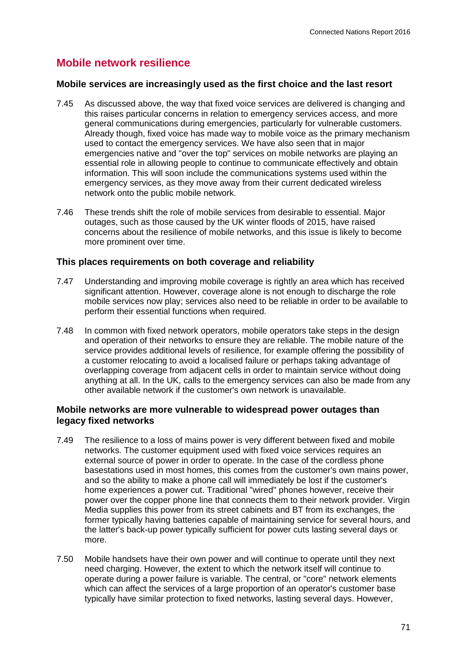## **Mobile network resilience**

#### **Mobile services are increasingly used as the first choice and the last resort**

- 7.45 As discussed above, the way that fixed voice services are delivered is changing and this raises particular concerns in relation to emergency services access, and more general communications during emergencies, particularly for vulnerable customers. Already though, fixed voice has made way to mobile voice as the primary mechanism used to contact the emergency services. We have also seen that in major emergencies native and "over the top" services on mobile networks are playing an essential role in allowing people to continue to communicate effectively and obtain information. This will soon include the communications systems used within the emergency services, as they move away from their current dedicated wireless network onto the public mobile network.
- 7.46 These trends shift the role of mobile services from desirable to essential. Major outages, such as those caused by the UK winter floods of 2015, have raised concerns about the resilience of mobile networks, and this issue is likely to become more prominent over time.

#### **This places requirements on both coverage and reliability**

- 7.47 Understanding and improving mobile coverage is rightly an area which has received significant attention. However, coverage alone is not enough to discharge the role mobile services now play; services also need to be reliable in order to be available to perform their essential functions when required.
- 7.48 In common with fixed network operators, mobile operators take steps in the design and operation of their networks to ensure they are reliable. The mobile nature of the service provides additional levels of resilience, for example offering the possibility of a customer relocating to avoid a localised failure or perhaps taking advantage of overlapping coverage from adjacent cells in order to maintain service without doing anything at all. In the UK, calls to the emergency services can also be made from any other available network if the customer's own network is unavailable.

#### **Mobile networks are more vulnerable to widespread power outages than legacy fixed networks**

- 7.49 The resilience to a loss of mains power is very different between fixed and mobile networks. The customer equipment used with fixed voice services requires an external source of power in order to operate. In the case of the cordless phone basestations used in most homes, this comes from the customer's own mains power, and so the ability to make a phone call will immediately be lost if the customer's home experiences a power cut. Traditional "wired" phones however, receive their power over the copper phone line that connects them to their network provider. Virgin Media supplies this power from its street cabinets and BT from its exchanges, the former typically having batteries capable of maintaining service for several hours, and the latter's back-up power typically sufficient for power cuts lasting several days or more.
- 7.50 Mobile handsets have their own power and will continue to operate until they next need charging. However, the extent to which the network itself will continue to operate during a power failure is variable. The central, or "core" network elements which can affect the services of a large proportion of an operator's customer base typically have similar protection to fixed networks, lasting several days. However,